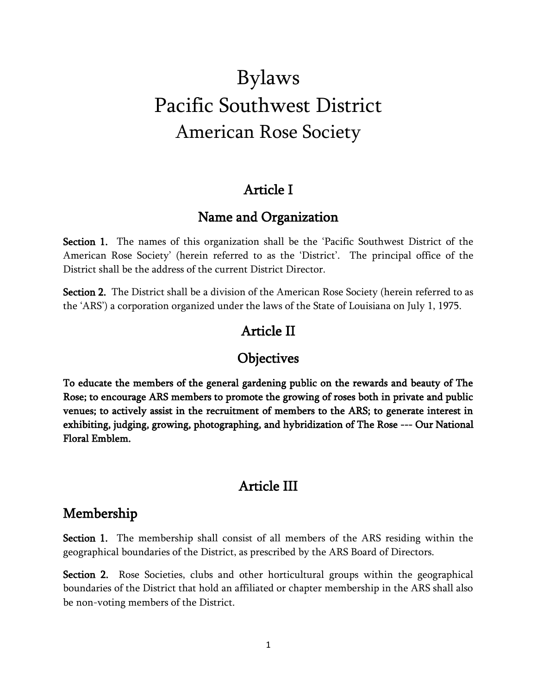# Bylaws Pacific Southwest District American Rose Society

#### Article I

## Name and Organization

Section 1. The names of this organization shall be the 'Pacific Southwest District of the American Rose Society' (herein referred to as the 'District'. The principal office of the District shall be the address of the current District Director.

Section 2. The District shall be a division of the American Rose Society (herein referred to as the 'ARS') a corporation organized under the laws of the State of Louisiana on July 1, 1975.

## Article II

#### **Objectives**

To educate the members of the general gardening public on the rewards and beauty of The Rose; to encourage ARS members to promote the growing of roses both in private and public venues; to actively assist in the recruitment of members to the ARS; to generate interest in exhibiting, judging, growing, photographing, and hybridization of The Rose --- Our National Floral Emblem.

## Article III

## Membership

Section 1. The membership shall consist of all members of the ARS residing within the geographical boundaries of the District, as prescribed by the ARS Board of Directors.

Section 2. Rose Societies, clubs and other horticultural groups within the geographical boundaries of the District that hold an affiliated or chapter membership in the ARS shall also be non-voting members of the District.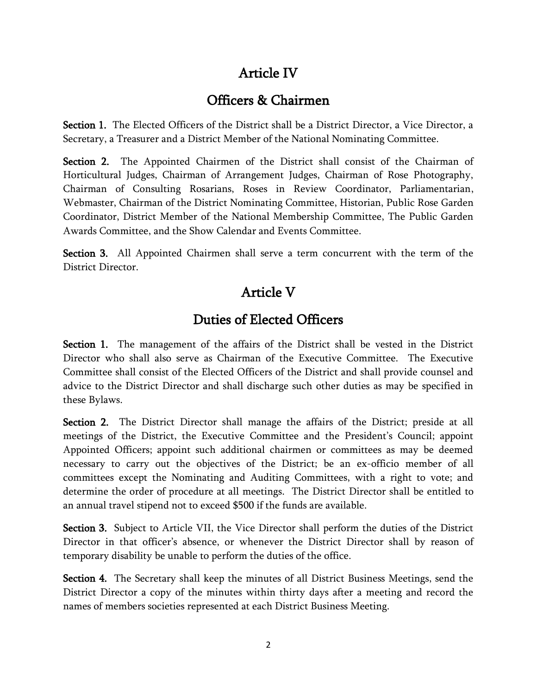## Article IV

## Officers & Chairmen

Section 1. The Elected Officers of the District shall be a District Director, a Vice Director, a Secretary, a Treasurer and a District Member of the National Nominating Committee.

Section 2. The Appointed Chairmen of the District shall consist of the Chairman of Horticultural Judges, Chairman of Arrangement Judges, Chairman of Rose Photography, Chairman of Consulting Rosarians, Roses in Review Coordinator, Parliamentarian, Webmaster, Chairman of the District Nominating Committee, Historian, Public Rose Garden Coordinator, District Member of the National Membership Committee, The Public Garden Awards Committee, and the Show Calendar and Events Committee.

Section 3. All Appointed Chairmen shall serve a term concurrent with the term of the District Director.

## Article V

## Duties of Elected Officers

Section 1. The management of the affairs of the District shall be vested in the District Director who shall also serve as Chairman of the Executive Committee. The Executive Committee shall consist of the Elected Officers of the District and shall provide counsel and advice to the District Director and shall discharge such other duties as may be specified in these Bylaws.

Section 2. The District Director shall manage the affairs of the District; preside at all meetings of the District, the Executive Committee and the President's Council; appoint Appointed Officers; appoint such additional chairmen or committees as may be deemed necessary to carry out the objectives of the District; be an ex-officio member of all committees except the Nominating and Auditing Committees, with a right to vote; and determine the order of procedure at all meetings. The District Director shall be entitled to an annual travel stipend not to exceed \$500 if the funds are available.

Section 3. Subject to Article VII, the Vice Director shall perform the duties of the District Director in that officer's absence, or whenever the District Director shall by reason of temporary disability be unable to perform the duties of the office.

Section 4. The Secretary shall keep the minutes of all District Business Meetings, send the District Director a copy of the minutes within thirty days after a meeting and record the names of members societies represented at each District Business Meeting.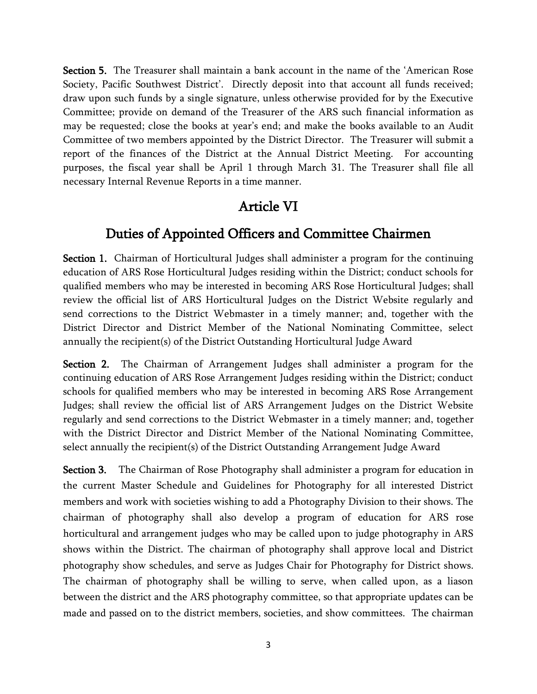Section 5. The Treasurer shall maintain a bank account in the name of the 'American Rose Society, Pacific Southwest District'. Directly deposit into that account all funds received; draw upon such funds by a single signature, unless otherwise provided for by the Executive Committee; provide on demand of the Treasurer of the ARS such financial information as may be requested; close the books at year's end; and make the books available to an Audit Committee of two members appointed by the District Director. The Treasurer will submit a report of the finances of the District at the Annual District Meeting. For accounting purposes, the fiscal year shall be April 1 through March 31. The Treasurer shall file all necessary Internal Revenue Reports in a time manner.

#### Article VI

#### Duties of Appointed Officers and Committee Chairmen

Section 1. Chairman of Horticultural Judges shall administer a program for the continuing education of ARS Rose Horticultural Judges residing within the District; conduct schools for qualified members who may be interested in becoming ARS Rose Horticultural Judges; shall review the official list of ARS Horticultural Judges on the District Website regularly and send corrections to the District Webmaster in a timely manner; and, together with the District Director and District Member of the National Nominating Committee, select annually the recipient(s) of the District Outstanding Horticultural Judge Award

Section 2. The Chairman of Arrangement Judges shall administer a program for the continuing education of ARS Rose Arrangement Judges residing within the District; conduct schools for qualified members who may be interested in becoming ARS Rose Arrangement Judges; shall review the official list of ARS Arrangement Judges on the District Website regularly and send corrections to the District Webmaster in a timely manner; and, together with the District Director and District Member of the National Nominating Committee, select annually the recipient(s) of the District Outstanding Arrangement Judge Award

**Section 3.** The Chairman of Rose Photography shall administer a program for education in the current Master Schedule and Guidelines for Photography for all interested District members and work with societies wishing to add a Photography Division to their shows. The chairman of photography shall also develop a program of education for ARS rose horticultural and arrangement judges who may be called upon to judge photography in ARS shows within the District. The chairman of photography shall approve local and District photography show schedules, and serve as Judges Chair for Photography for District shows. The chairman of photography shall be willing to serve, when called upon, as a liason between the district and the ARS photography committee, so that appropriate updates can be made and passed on to the district members, societies, and show committees. The chairman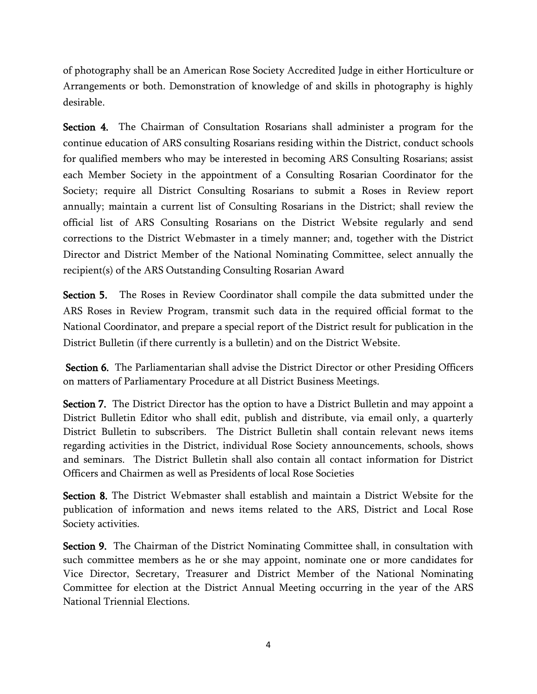of photography shall be an American Rose Society Accredited Judge in either Horticulture or Arrangements or both. Demonstration of knowledge of and skills in photography is highly desirable.

Section 4. The Chairman of Consultation Rosarians shall administer a program for the continue education of ARS consulting Rosarians residing within the District, conduct schools for qualified members who may be interested in becoming ARS Consulting Rosarians; assist each Member Society in the appointment of a Consulting Rosarian Coordinator for the Society; require all District Consulting Rosarians to submit a Roses in Review report annually; maintain a current list of Consulting Rosarians in the District; shall review the official list of ARS Consulting Rosarians on the District Website regularly and send corrections to the District Webmaster in a timely manner; and, together with the District Director and District Member of the National Nominating Committee, select annually the recipient(s) of the ARS Outstanding Consulting Rosarian Award

Section 5. The Roses in Review Coordinator shall compile the data submitted under the ARS Roses in Review Program, transmit such data in the required official format to the National Coordinator, and prepare a special report of the District result for publication in the District Bulletin (if there currently is a bulletin) and on the District Website.

Section 6. The Parliamentarian shall advise the District Director or other Presiding Officers on matters of Parliamentary Procedure at all District Business Meetings.

Section 7. The District Director has the option to have a District Bulletin and may appoint a District Bulletin Editor who shall edit, publish and distribute, via email only, a quarterly District Bulletin to subscribers. The District Bulletin shall contain relevant news items regarding activities in the District, individual Rose Society announcements, schools, shows and seminars. The District Bulletin shall also contain all contact information for District Officers and Chairmen as well as Presidents of local Rose Societies

Section 8. The District Webmaster shall establish and maintain a District Website for the publication of information and news items related to the ARS, District and Local Rose Society activities.

Section 9. The Chairman of the District Nominating Committee shall, in consultation with such committee members as he or she may appoint, nominate one or more candidates for Vice Director, Secretary, Treasurer and District Member of the National Nominating Committee for election at the District Annual Meeting occurring in the year of the ARS National Triennial Elections.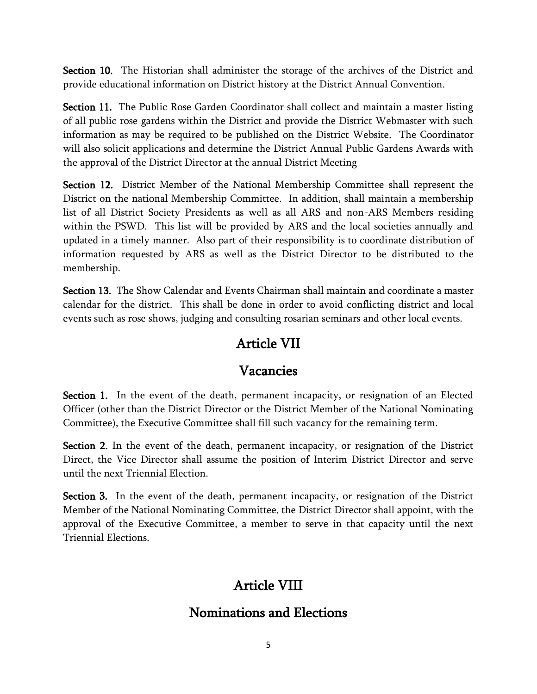Section 10. The Historian shall administer the storage of the archives of the District and provide educational information on District history at the District Annual Convention.

Section 11. The Public Rose Garden Coordinator shall collect and maintain a master listing of all public rose gardens within the District and provide the District Webmaster with such information as may be required to be published on the District Website. The Coordinator will also solicit applications and determine the District Annual Public Gardens Awards with the approval of the District Director at the annual District Meeting

Section 12. District Member of the National Membership Committee shall represent the District on the national Membership Committee. In addition, shall maintain a membership list of all District Society Presidents as well as all ARS and non-ARS Members residing within the PSWD. This list will be provided by ARS and the local societies annually and updated in a timely manner. Also part of their responsibility is to coordinate distribution of information requested by ARS as well as the District Director to be distributed to the membership.

Section 13. The Show Calendar and Events Chairman shall maintain and coordinate a master calendar for the district. This shall be done in order to avoid conflicting district and local events such as rose shows, judging and consulting rosarian seminars and other local events.

#### Article VII

#### Vacancies

Section 1. In the event of the death, permanent incapacity, or resignation of an Elected Officer (other than the District Director or the District Member of the National Nominating Committee), the Executive Committee shall fill such vacancy for the remaining term.

Section 2. In the event of the death, permanent incapacity, or resignation of the District Direct, the Vice Director shall assume the position of Interim District Director and serve until the next Triennial Election.

Section 3. In the event of the death, permanent incapacity, or resignation of the District Member of the National Nominating Committee, the District Director shall appoint, with the approval of the Executive Committee, a member to serve in that capacity until the next Triennial Elections.

## Article VIII

#### Nominations and Elections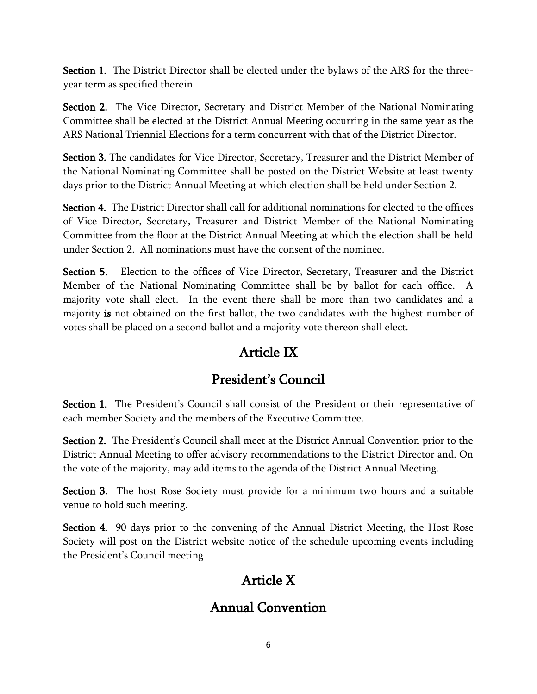Section 1. The District Director shall be elected under the bylaws of the ARS for the threeyear term as specified therein.

Section 2. The Vice Director, Secretary and District Member of the National Nominating Committee shall be elected at the District Annual Meeting occurring in the same year as the ARS National Triennial Elections for a term concurrent with that of the District Director.

Section 3. The candidates for Vice Director, Secretary, Treasurer and the District Member of the National Nominating Committee shall be posted on the District Website at least twenty days prior to the District Annual Meeting at which election shall be held under Section 2.

Section 4. The District Director shall call for additional nominations for elected to the offices of Vice Director, Secretary, Treasurer and District Member of the National Nominating Committee from the floor at the District Annual Meeting at which the election shall be held under Section 2. All nominations must have the consent of the nominee.

Section 5. Election to the offices of Vice Director, Secretary, Treasurer and the District Member of the National Nominating Committee shall be by ballot for each office. A majority vote shall elect. In the event there shall be more than two candidates and a majority is not obtained on the first ballot, the two candidates with the highest number of votes shall be placed on a second ballot and a majority vote thereon shall elect.

# Article IX

## President's Council

Section 1. The President's Council shall consist of the President or their representative of each member Society and the members of the Executive Committee.

Section 2. The President's Council shall meet at the District Annual Convention prior to the District Annual Meeting to offer advisory recommendations to the District Director and. On the vote of the majority, may add items to the agenda of the District Annual Meeting.

Section 3. The host Rose Society must provide for a minimum two hours and a suitable venue to hold such meeting.

Section 4. 90 days prior to the convening of the Annual District Meeting, the Host Rose Society will post on the District website notice of the schedule upcoming events including the President's Council meeting

## Article X

## Annual Convention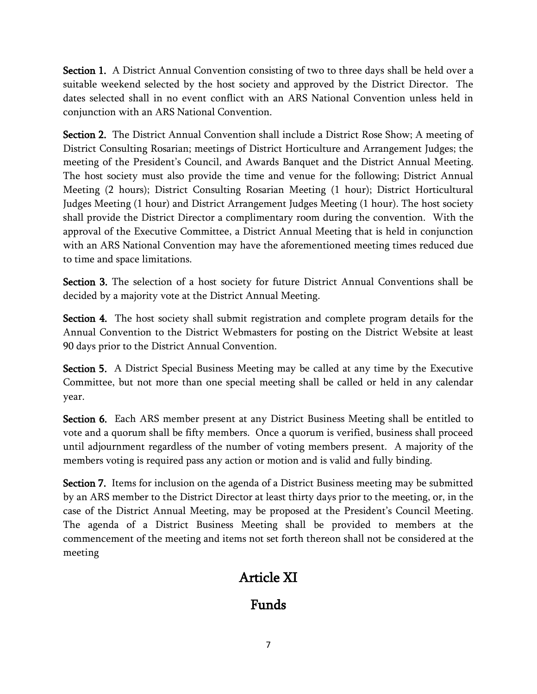Section 1. A District Annual Convention consisting of two to three days shall be held over a suitable weekend selected by the host society and approved by the District Director. The dates selected shall in no event conflict with an ARS National Convention unless held in conjunction with an ARS National Convention.

Section 2. The District Annual Convention shall include a District Rose Show; A meeting of District Consulting Rosarian; meetings of District Horticulture and Arrangement Judges; the meeting of the President's Council, and Awards Banquet and the District Annual Meeting. The host society must also provide the time and venue for the following; District Annual Meeting (2 hours); District Consulting Rosarian Meeting (1 hour); District Horticultural Judges Meeting (1 hour) and District Arrangement Judges Meeting (1 hour). The host society shall provide the District Director a complimentary room during the convention. With the approval of the Executive Committee, a District Annual Meeting that is held in conjunction with an ARS National Convention may have the aforementioned meeting times reduced due to time and space limitations.

Section 3. The selection of a host society for future District Annual Conventions shall be decided by a majority vote at the District Annual Meeting.

Section 4. The host society shall submit registration and complete program details for the Annual Convention to the District Webmasters for posting on the District Website at least 90 days prior to the District Annual Convention.

Section 5. A District Special Business Meeting may be called at any time by the Executive Committee, but not more than one special meeting shall be called or held in any calendar year.

Section 6. Each ARS member present at any District Business Meeting shall be entitled to vote and a quorum shall be fifty members. Once a quorum is verified, business shall proceed until adjournment regardless of the number of voting members present. A majority of the members voting is required pass any action or motion and is valid and fully binding.

Section 7. Items for inclusion on the agenda of a District Business meeting may be submitted by an ARS member to the District Director at least thirty days prior to the meeting, or, in the case of the District Annual Meeting, may be proposed at the President's Council Meeting. The agenda of a District Business Meeting shall be provided to members at the commencement of the meeting and items not set forth thereon shall not be considered at the meeting

## Article XI

## Funds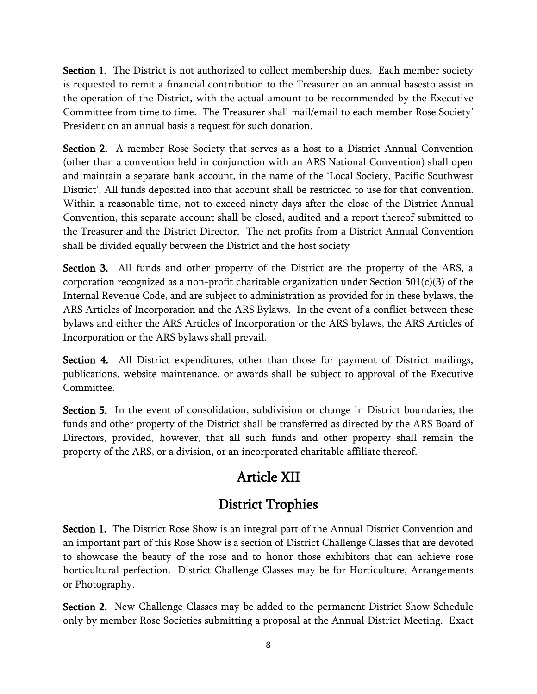Section 1. The District is not authorized to collect membership dues. Each member society is requested to remit a financial contribution to the Treasurer on an annual basesto assist in the operation of the District, with the actual amount to be recommended by the Executive Committee from time to time. The Treasurer shall mail/email to each member Rose Society' President on an annual basis a request for such donation.

Section 2. A member Rose Society that serves as a host to a District Annual Convention (other than a convention held in conjunction with an ARS National Convention) shall open and maintain a separate bank account, in the name of the 'Local Society, Pacific Southwest District'. All funds deposited into that account shall be restricted to use for that convention. Within a reasonable time, not to exceed ninety days after the close of the District Annual Convention, this separate account shall be closed, audited and a report thereof submitted to the Treasurer and the District Director. The net profits from a District Annual Convention shall be divided equally between the District and the host society

Section 3. All funds and other property of the District are the property of the ARS, a corporation recognized as a non-profit charitable organization under Section  $501(c)(3)$  of the Internal Revenue Code, and are subject to administration as provided for in these bylaws, the ARS Articles of Incorporation and the ARS Bylaws. In the event of a conflict between these bylaws and either the ARS Articles of Incorporation or the ARS bylaws, the ARS Articles of Incorporation or the ARS bylaws shall prevail.

Section 4. All District expenditures, other than those for payment of District mailings, publications, website maintenance, or awards shall be subject to approval of the Executive Committee.

Section 5. In the event of consolidation, subdivision or change in District boundaries, the funds and other property of the District shall be transferred as directed by the ARS Board of Directors, provided, however, that all such funds and other property shall remain the property of the ARS, or a division, or an incorporated charitable affiliate thereof.

# Article XII

## District Trophies

Section 1. The District Rose Show is an integral part of the Annual District Convention and an important part of this Rose Show is a section of District Challenge Classes that are devoted to showcase the beauty of the rose and to honor those exhibitors that can achieve rose horticultural perfection. District Challenge Classes may be for Horticulture, Arrangements or Photography.

Section 2. New Challenge Classes may be added to the permanent District Show Schedule only by member Rose Societies submitting a proposal at the Annual District Meeting. Exact